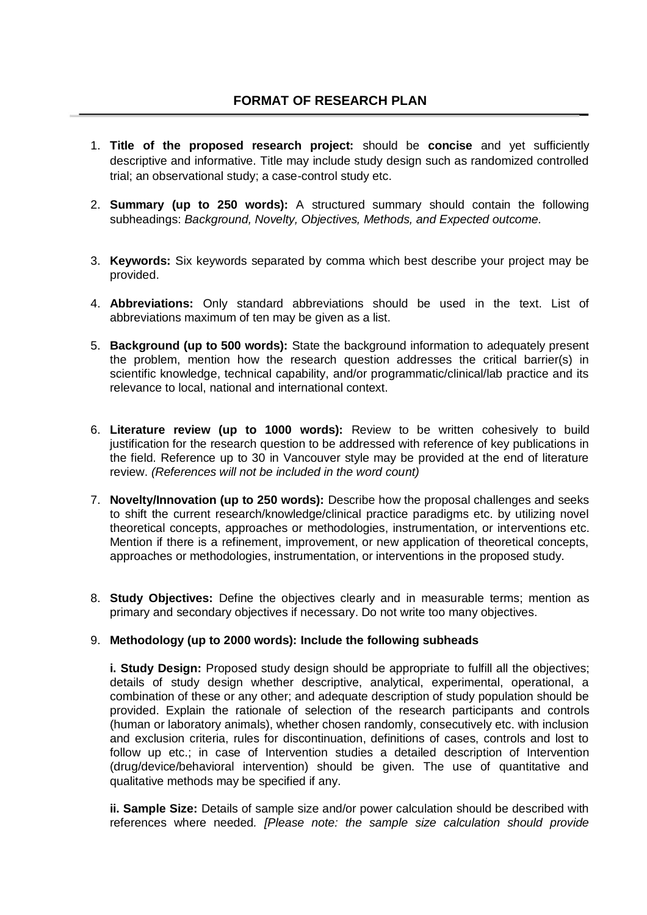- 1. **Title of the proposed research project:** should be **concise** and yet sufficiently descriptive and informative. Title may include study design such as randomized controlled trial; an observational study; a case-control study etc.
- 2. **Summary (up to 250 words):** A structured summary should contain the following subheadings: *Background, Novelty, Objectives, Methods, and Expected outcome.*
- 3. **Keywords:** Six keywords separated by comma which best describe your project may be provided.
- 4. **Abbreviations:** Only standard abbreviations should be used in the text. List of abbreviations maximum of ten may be given as a list.
- 5. **Background (up to 500 words):** State the background information to adequately present the problem, mention how the research question addresses the critical barrier(s) in scientific knowledge, technical capability, and/or programmatic/clinical/lab practice and its relevance to local, national and international context.
- 6. **Literature review (up to 1000 words):** Review to be written cohesively to build justification for the research question to be addressed with reference of key publications in the field. Reference up to 30 in Vancouver style may be provided at the end of literature review. *(References will not be included in the word count)*
- 7. **Novelty/Innovation (up to 250 words):** Describe how the proposal challenges and seeks to shift the current research/knowledge/clinical practice paradigms etc. by utilizing novel theoretical concepts, approaches or methodologies, instrumentation, or interventions etc. Mention if there is a refinement, improvement, or new application of theoretical concepts, approaches or methodologies, instrumentation, or interventions in the proposed study.
- 8. **Study Objectives:** Define the objectives clearly and in measurable terms; mention as primary and secondary objectives if necessary. Do not write too many objectives.

## 9. **Methodology (up to 2000 words): Include the following subheads**

**i. Study Design:** Proposed study design should be appropriate to fulfill all the objectives; details of study design whether descriptive, analytical, experimental, operational, a combination of these or any other; and adequate description of study population should be provided. Explain the rationale of selection of the research participants and controls (human or laboratory animals), whether chosen randomly, consecutively etc. with inclusion and exclusion criteria, rules for discontinuation, definitions of cases, controls and lost to follow up etc.; in case of Intervention studies a detailed description of Intervention (drug/device/behavioral intervention) should be given. The use of quantitative and qualitative methods may be specified if any.

**ii. Sample Size:** Details of sample size and/or power calculation should be described with references where needed*. [Please note: the sample size calculation should provide*